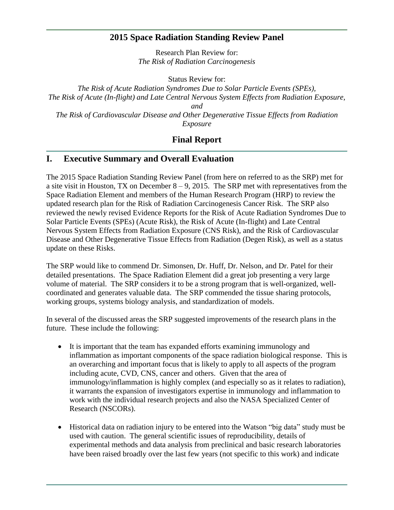## **2015 Space Radiation Standing Review Panel**

Research Plan Review for: *The Risk of Radiation Carcinogenesis*

Status Review for:

*The Risk of Acute Radiation Syndromes Due to Solar Particle Events (SPEs), The Risk of Acute (In-flight) and Late Central Nervous System Effects from Radiation Exposure, and The Risk of Cardiovascular Disease and Other Degenerative Tissue Effects from Radiation Exposure*

# **Final Report**

# **I. Executive Summary and Overall Evaluation**

The 2015 Space Radiation Standing Review Panel (from here on referred to as the SRP) met for a site visit in Houston, TX on December  $8 - 9$ , 2015. The SRP met with representatives from the Space Radiation Element and members of the Human Research Program (HRP) to review the updated research plan for the Risk of Radiation Carcinogenesis Cancer Risk. The SRP also reviewed the newly revised Evidence Reports for the Risk of Acute Radiation Syndromes Due to Solar Particle Events (SPEs) (Acute Risk), the Risk of Acute (In-flight) and Late Central Nervous System Effects from Radiation Exposure (CNS Risk), and the Risk of Cardiovascular Disease and Other Degenerative Tissue Effects from Radiation (Degen Risk), as well as a status update on these Risks.

The SRP would like to commend Dr. Simonsen, Dr. Huff, Dr. Nelson, and Dr. Patel for their detailed presentations. The Space Radiation Element did a great job presenting a very large volume of material. The SRP considers it to be a strong program that is well-organized, wellcoordinated and generates valuable data. The SRP commended the tissue sharing protocols, working groups, systems biology analysis, and standardization of models.

In several of the discussed areas the SRP suggested improvements of the research plans in the future. These include the following:

- It is important that the team has expanded efforts examining immunology and inflammation as important components of the space radiation biological response. This is an overarching and important focus that is likely to apply to all aspects of the program including acute, CVD, CNS, cancer and others. Given that the area of immunology/inflammation is highly complex (and especially so as it relates to radiation), it warrants the expansion of investigators expertise in immunology and inflammation to work with the individual research projects and also the NASA Specialized Center of Research (NSCORs).
- Historical data on radiation injury to be entered into the Watson "big data" study must be used with caution. The general scientific issues of reproducibility, details of experimental methods and data analysis from preclinical and basic research laboratories have been raised broadly over the last few years (not specific to this work) and indicate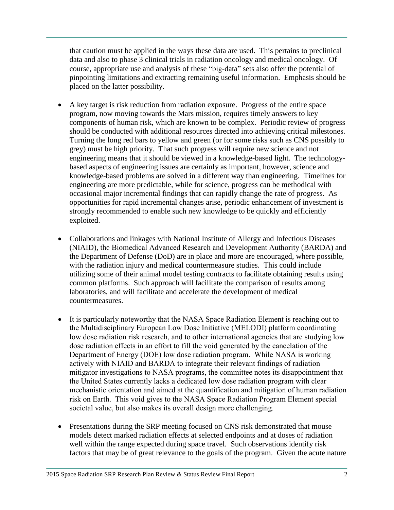that caution must be applied in the ways these data are used. This pertains to preclinical data and also to phase 3 clinical trials in radiation oncology and medical oncology. Of course, appropriate use and analysis of these "big-data" sets also offer the potential of pinpointing limitations and extracting remaining useful information. Emphasis should be placed on the latter possibility.

- A key target is risk reduction from radiation exposure. Progress of the entire space program, now moving towards the Mars mission, requires timely answers to key components of human risk, which are known to be complex. Periodic review of progress should be conducted with additional resources directed into achieving critical milestones. Turning the long red bars to yellow and green (or for some risks such as CNS possibly to grey) must be high priority. That such progress will require new science and not engineering means that it should be viewed in a knowledge-based light. The technologybased aspects of engineering issues are certainly as important, however, science and knowledge-based problems are solved in a different way than engineering. Timelines for engineering are more predictable, while for science, progress can be methodical with occasional major incremental findings that can rapidly change the rate of progress. As opportunities for rapid incremental changes arise, periodic enhancement of investment is strongly recommended to enable such new knowledge to be quickly and efficiently exploited.
- Collaborations and linkages with National Institute of Allergy and Infectious Diseases (NIAID), the Biomedical Advanced Research and Development Authority (BARDA) and the Department of Defense (DoD) are in place and more are encouraged, where possible, with the radiation injury and medical countermeasure studies. This could include utilizing some of their animal model testing contracts to facilitate obtaining results using common platforms. Such approach will facilitate the comparison of results among laboratories, and will facilitate and accelerate the development of medical countermeasures.
- It is particularly noteworthy that the NASA Space Radiation Element is reaching out to the Multidisciplinary European Low Dose Initiative (MELODI) platform coordinating low dose radiation risk research, and to other international agencies that are studying low dose radiation effects in an effort to fill the void generated by the cancelation of the Department of Energy (DOE) low dose radiation program. While NASA is working actively with NIAID and BARDA to integrate their relevant findings of radiation mitigator investigations to NASA programs, the committee notes its disappointment that the United States currently lacks a dedicated low dose radiation program with clear mechanistic orientation and aimed at the quantification and mitigation of human radiation risk on Earth. This void gives to the NASA Space Radiation Program Element special societal value, but also makes its overall design more challenging.
- Presentations during the SRP meeting focused on CNS risk demonstrated that mouse models detect marked radiation effects at selected endpoints and at doses of radiation well within the range expected during space travel. Such observations identify risk factors that may be of great relevance to the goals of the program. Given the acute nature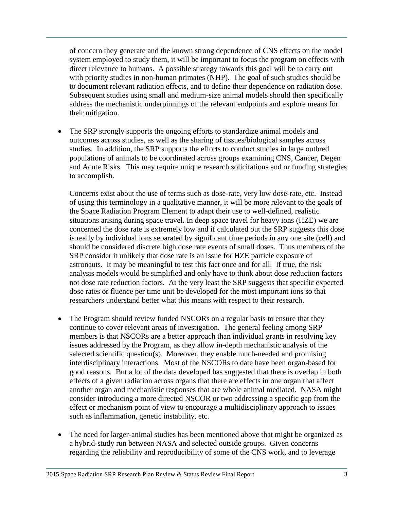of concern they generate and the known strong dependence of CNS effects on the model system employed to study them, it will be important to focus the program on effects with direct relevance to humans. A possible strategy towards this goal will be to carry out with priority studies in non-human primates (NHP). The goal of such studies should be to document relevant radiation effects, and to define their dependence on radiation dose. Subsequent studies using small and medium-size animal models should then specifically address the mechanistic underpinnings of the relevant endpoints and explore means for their mitigation.

 The SRP strongly supports the ongoing efforts to standardize animal models and outcomes across studies, as well as the sharing of tissues/biological samples across studies. In addition, the SRP supports the efforts to conduct studies in large outbred populations of animals to be coordinated across groups examining CNS, Cancer, Degen and Acute Risks. This may require unique research solicitations and or funding strategies to accomplish.

Concerns exist about the use of terms such as dose-rate, very low dose-rate, etc. Instead of using this terminology in a qualitative manner, it will be more relevant to the goals of the Space Radiation Program Element to adapt their use to well-defined, realistic situations arising during space travel. In deep space travel for heavy ions (HZE) we are concerned the dose rate is extremely low and if calculated out the SRP suggests this dose is really by individual ions separated by significant time periods in any one site (cell) and should be considered discrete high dose rate events of small doses. Thus members of the SRP consider it unlikely that dose rate is an issue for HZE particle exposure of astronauts. It may be meaningful to test this fact once and for all. If true, the risk analysis models would be simplified and only have to think about dose reduction factors not dose rate reduction factors. At the very least the SRP suggests that specific expected dose rates or fluence per time unit be developed for the most important ions so that researchers understand better what this means with respect to their research.

- The Program should review funded NSCORs on a regular basis to ensure that they continue to cover relevant areas of investigation. The general feeling among SRP members is that NSCORs are a better approach than individual grants in resolving key issues addressed by the Program, as they allow in-depth mechanistic analysis of the selected scientific question(s). Moreover, they enable much-needed and promising interdisciplinary interactions. Most of the NSCORs to date have been organ-based for good reasons. But a lot of the data developed has suggested that there is overlap in both effects of a given radiation across organs that there are effects in one organ that affect another organ and mechanistic responses that are whole animal mediated. NASA might consider introducing a more directed NSCOR or two addressing a specific gap from the effect or mechanism point of view to encourage a multidisciplinary approach to issues such as inflammation, genetic instability, etc.
- The need for larger-animal studies has been mentioned above that might be organized as a hybrid-study run between NASA and selected outside groups. Given concerns regarding the reliability and reproducibility of some of the CNS work, and to leverage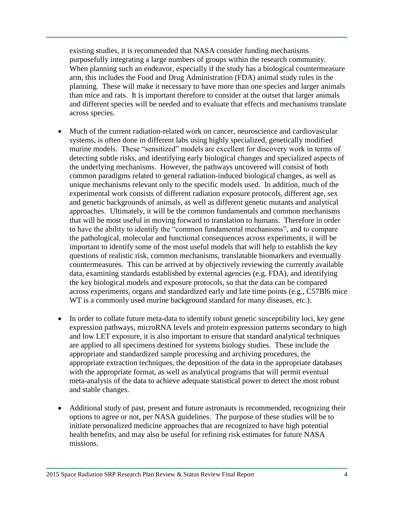existing studies, it is recommended that NASA consider funding mechanisms purposefully integrating a large numbers of groups within the research community. When planning such an endeavor, especially if the study has a biological countermeasure arm, this includes the Food and Drug Administration (FDA) animal study rules in the planning. These will make it necessary to have more than one species and larger animals than mice and rats. It is important therefore to consider at the outset that larger animals and different species will be needed and to evaluate that effects and mechanisms translate across species.

- Much of the current radiation-related work on cancer, neuroscience and cardiovascular systems, is often done in different labs using highly specialized, genetically modified murine models. These "sensitized" models are excellent for discovery work in terms of detecting subtle risks, and identifying early biological changes and specialized aspects of the underlying mechanisms. However, the pathways uncovered will consist of both common paradigms related to general radiation-induced biological changes, as well as unique mechanisms relevant only to the specific models used. In addition, much of the experimental work consists of different radiation exposure protocols, different age, sex and genetic backgrounds of animals, as well as different genetic mutants and analytical approaches. Ultimately, it will be the common fundamentals and common mechanisms that will be most useful in moving forward to translation to humans. Therefore in order to have the ability to identify the "common fundamental mechanisms", and to compare the pathological, molecular and functional consequences across experiments, it will be important to identify some of the most useful models that will help to establish the key questions of realistic risk, common mechanisms, translatable biomarkers and eventually countermeasures. This can be arrived at by objectively reviewing the currently available data, examining standards established by external agencies (e.g. FDA), and identifying the key biological models and exposure protocols, so that the data can be compared across experiments, organs and standardized early and late time points (e.g., C57Bl6 mice WT is a commonly used murine background standard for many diseases, etc.).
- In order to collate future meta-data to identify robust genetic susceptibility loci, key gene expression pathways, microRNA levels and protein expression patterns secondary to high and low LET exposure, it is also important to ensure that standard analytical techniques are applied to all specimens destined for systems biology studies. These include the appropriate and standardized sample processing and archiving procedures, the appropriate extraction techniques, the deposition of the data in the appropriate databases with the appropriate format, as well as analytical programs that will permit eventual meta-analysis of the data to achieve adequate statistical power to detect the most robust and stable changes.
- Additional study of past, present and future astronauts is recommended, recognizing their options to agree or not, per NASA guidelines. The purpose of these studies will be to initiate personalized medicine approaches that are recognized to have high potential health benefits, and may also be useful for refining risk estimates for future NASA missions.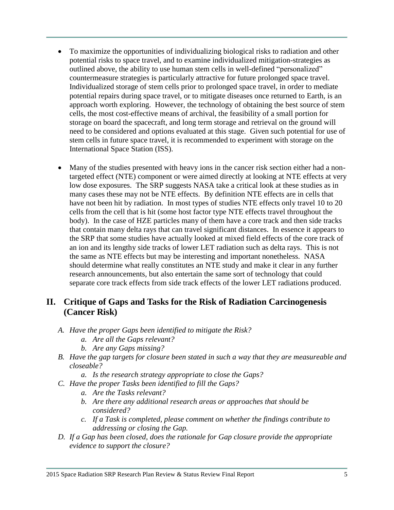- To maximize the opportunities of individualizing biological risks to radiation and other potential risks to space travel, and to examine individualized mitigation-strategies as outlined above, the ability to use human stem cells in well-defined "personalized" countermeasure strategies is particularly attractive for future prolonged space travel. Individualized storage of stem cells prior to prolonged space travel, in order to mediate potential repairs during space travel, or to mitigate diseases once returned to Earth, is an approach worth exploring. However, the technology of obtaining the best source of stem cells, the most cost-effective means of archival, the feasibility of a small portion for storage on board the spacecraft, and long term storage and retrieval on the ground will need to be considered and options evaluated at this stage. Given such potential for use of stem cells in future space travel, it is recommended to experiment with storage on the International Space Station (ISS).
- Many of the studies presented with heavy ions in the cancer risk section either had a nontargeted effect (NTE) component or were aimed directly at looking at NTE effects at very low dose exposures. The SRP suggests NASA take a critical look at these studies as in many cases these may not be NTE effects. By definition NTE effects are in cells that have not been hit by radiation. In most types of studies NTE effects only travel 10 to 20 cells from the cell that is hit (some host factor type NTE effects travel throughout the body). In the case of HZE particles many of them have a core track and then side tracks that contain many delta rays that can travel significant distances. In essence it appears to the SRP that some studies have actually looked at mixed field effects of the core track of an ion and its lengthy side tracks of lower LET radiation such as delta rays. This is not the same as NTE effects but may be interesting and important nonetheless. NASA should determine what really constitutes an NTE study and make it clear in any further research announcements, but also entertain the same sort of technology that could separate core track effects from side track effects of the lower LET radiations produced.

# **II. Critique of Gaps and Tasks for the Risk of Radiation Carcinogenesis (Cancer Risk)**

- *A. Have the proper Gaps been identified to mitigate the Risk?*
	- *a. Are all the Gaps relevant?*
	- *b. Are any Gaps missing?*
- *B. Have the gap targets for closure been stated in such a way that they are measureable and closeable?*
	- *a. Is the research strategy appropriate to close the Gaps?*
- *C. Have the proper Tasks been identified to fill the Gaps?*
	- *a. Are the Tasks relevant?*
	- *b. Are there any additional research areas or approaches that should be considered?*
	- *c. If a Task is completed, please comment on whether the findings contribute to addressing or closing the Gap.*
- *D. If a Gap has been closed, does the rationale for Gap closure provide the appropriate evidence to support the closure?*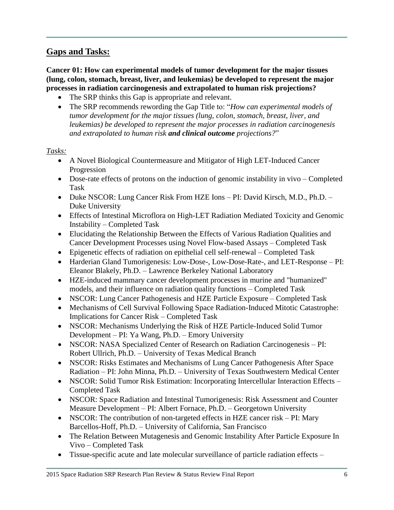# **Gaps and Tasks:**

**Cancer 01: How can experimental models of tumor development for the major tissues (lung, colon, stomach, breast, liver, and leukemias) be developed to represent the major processes in radiation carcinogenesis and extrapolated to human risk projections?**

- The SRP thinks this Gap is appropriate and relevant.
- The SRP recommends rewording the Gap Title to: "*How can experimental models of tumor development for the major tissues (lung, colon, stomach, breast, liver, and leukemias) be developed to represent the major processes in radiation carcinogenesis and extrapolated to human risk and clinical outcome projections?*"

- A Novel Biological Countermeasure and Mitigator of High LET-Induced Cancer Progression
- Dose-rate effects of protons on the induction of genomic instability in vivo Completed Task
- Duke NSCOR: Lung Cancer Risk From HZE Ions PI: David Kirsch, M.D., Ph.D. Duke University
- Effects of Intestinal Microflora on High-LET Radiation Mediated Toxicity and Genomic Instability – Completed Task
- Elucidating the Relationship Between the Effects of Various Radiation Qualities and Cancer Development Processes using Novel Flow-based Assays – Completed Task
- Epigenetic effects of radiation on epithelial cell self-renewal Completed Task
- Harderian Gland Tumorigenesis: Low-Dose-, Low-Dose-Rate-, and LET-Response PI: Eleanor Blakely, Ph.D. – Lawrence Berkeley National Laboratory
- HZE-induced mammary cancer development processes in murine and "humanized" models, and their influence on radiation quality functions – Completed Task
- NSCOR: Lung Cancer Pathogenesis and HZE Particle Exposure Completed Task
- Mechanisms of Cell Survival Following Space Radiation-Induced Mitotic Catastrophe: Implications for Cancer Risk – Completed Task
- NSCOR: Mechanisms Underlying the Risk of HZE Particle-Induced Solid Tumor Development – PI: Ya Wang, Ph.D. – Emory University
- NSCOR: NASA Specialized Center of Research on Radiation Carcinogenesis PI: Robert Ullrich, Ph.D. – University of Texas Medical Branch
- NSCOR: Risks Estimates and Mechanisms of Lung Cancer Pathogenesis After Space Radiation – PI: John Minna, Ph.D. – University of Texas Southwestern Medical Center
- NSCOR: Solid Tumor Risk Estimation: Incorporating Intercellular Interaction Effects Completed Task
- NSCOR: Space Radiation and Intestinal Tumorigenesis: Risk Assessment and Counter Measure Development – PI: Albert Fornace, Ph.D. – Georgetown University
- NSCOR: The contribution of non-targeted effects in HZE cancer risk PI: Mary Barcellos-Hoff, Ph.D. – University of California, San Francisco
- The Relation Between Mutagenesis and Genomic Instability After Particle Exposure In Vivo – Completed Task
- Tissue-specific acute and late molecular surveillance of particle radiation effects –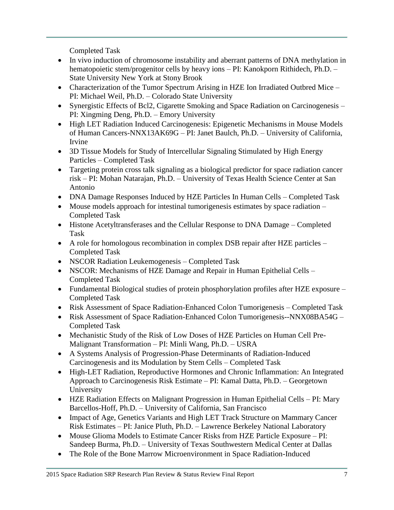Completed Task

- In vivo induction of chromosome instability and aberrant patterns of DNA methylation in hematopoietic stem/progenitor cells by heavy ions – PI: Kanokporn Rithidech, Ph.D. – State University New York at Stony Brook
- Characterization of the Tumor Spectrum Arising in HZE Ion Irradiated Outbred Mice PI: Michael Weil, Ph.D. – Colorado State University
- Synergistic Effects of Bcl2, Cigarette Smoking and Space Radiation on Carcinogenesis PI: Xingming Deng, Ph.D. – Emory University
- High LET Radiation Induced Carcinogenesis: Epigenetic Mechanisms in Mouse Models of Human Cancers-NNX13AK69G – PI: Janet Baulch, Ph.D. – University of California, Irvine
- 3D Tissue Models for Study of Intercellular Signaling Stimulated by High Energy Particles – Completed Task
- Targeting protein cross talk signaling as a biological predictor for space radiation cancer risk – PI: Mohan Natarajan, Ph.D. – University of Texas Health Science Center at San Antonio
- DNA Damage Responses Induced by HZE Particles In Human Cells Completed Task
- Mouse models approach for intestinal tumorigenesis estimates by space radiation Completed Task
- Histone Acetyltransferases and the Cellular Response to DNA Damage Completed Task
- A role for homologous recombination in complex DSB repair after HZE particles Completed Task
- NSCOR Radiation Leukemogenesis Completed Task
- NSCOR: Mechanisms of HZE Damage and Repair in Human Epithelial Cells Completed Task
- Fundamental Biological studies of protein phosphorylation profiles after HZE exposure Completed Task
- Risk Assessment of Space Radiation-Enhanced Colon Tumorigenesis Completed Task
- Risk Assessment of Space Radiation-Enhanced Colon Tumorigenesis--NNX08BA54G Completed Task
- Mechanistic Study of the Risk of Low Doses of HZE Particles on Human Cell Pre-Malignant Transformation – PI: Minli Wang, Ph.D. – USRA
- A Systems Analysis of Progression-Phase Determinants of Radiation-Induced Carcinogenesis and its Modulation by Stem Cells – Completed Task
- High-LET Radiation, Reproductive Hormones and Chronic Inflammation: An Integrated Approach to Carcinogenesis Risk Estimate – PI: Kamal Datta, Ph.D. – Georgetown University
- HZE Radiation Effects on Malignant Progression in Human Epithelial Cells PI: Mary Barcellos-Hoff, Ph.D. – University of California, San Francisco
- Impact of Age, Genetics Variants and High LET Track Structure on Mammary Cancer Risk Estimates – PI: Janice Pluth, Ph.D. – Lawrence Berkeley National Laboratory
- Mouse Glioma Models to Estimate Cancer Risks from HZE Particle Exposure PI: Sandeep Burma, Ph.D. – University of Texas Southwestern Medical Center at Dallas
- The Role of the Bone Marrow Microenvironment in Space Radiation-Induced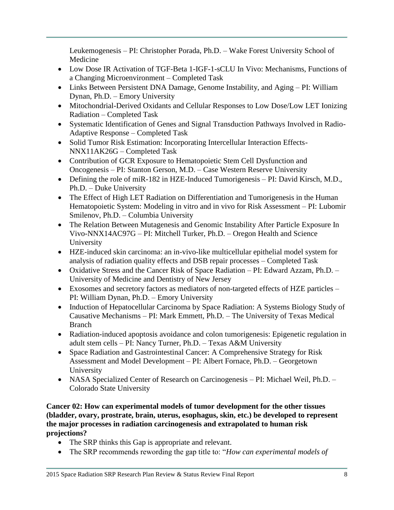Leukemogenesis – PI: Christopher Porada, Ph.D. – Wake Forest University School of Medicine

- Low Dose IR Activation of TGF-Beta 1-IGF-1-sCLU In Vivo: Mechanisms, Functions of a Changing Microenvironment – Completed Task
- Links Between Persistent DNA Damage, Genome Instability, and Aging PI: William Dynan, Ph.D. – Emory University
- Mitochondrial-Derived Oxidants and Cellular Responses to Low Dose/Low LET Ionizing Radiation – Completed Task
- Systematic Identification of Genes and Signal Transduction Pathways Involved in Radio-Adaptive Response – Completed Task
- Solid Tumor Risk Estimation: Incorporating Intercellular Interaction Effects-NNX11AK26G – Completed Task
- Contribution of GCR Exposure to Hematopoietic Stem Cell Dysfunction and Oncogenesis – PI: Stanton Gerson, M.D. – Case Western Reserve University
- Defining the role of miR-182 in HZE-Induced Tumorigenesis PI: David Kirsch, M.D., Ph.D. – Duke University
- The Effect of High LET Radiation on Differentiation and Tumorigenesis in the Human Hematopoietic System: Modeling in vitro and in vivo for Risk Assessment – PI: Lubomir Smilenov, Ph.D. – Columbia University
- The Relation Between Mutagenesis and Genomic Instability After Particle Exposure In Vivo-NNX14AC97G – PI: Mitchell Turker, Ph.D. – Oregon Health and Science University
- HZE-induced skin carcinoma: an in-vivo-like multicellular epithelial model system for analysis of radiation quality effects and DSB repair processes – Completed Task
- Oxidative Stress and the Cancer Risk of Space Radiation PI: Edward Azzam, Ph.D. University of Medicine and Dentistry of New Jersey
- Exosomes and secretory factors as mediators of non-targeted effects of HZE particles PI: William Dynan, Ph.D. – Emory University
- Induction of Hepatocellular Carcinoma by Space Radiation: A Systems Biology Study of Causative Mechanisms – PI: Mark Emmett, Ph.D. – The University of Texas Medical Branch
- Radiation-induced apoptosis avoidance and colon tumorigenesis: Epigenetic regulation in adult stem cells – PI: Nancy Turner, Ph.D. – Texas A&M University
- Space Radiation and Gastrointestinal Cancer: A Comprehensive Strategy for Risk Assessment and Model Development – PI: Albert Fornace, Ph.D. – Georgetown University
- NASA Specialized Center of Research on Carcinogenesis PI: Michael Weil, Ph.D. Colorado State University

**Cancer 02: How can experimental models of tumor development for the other tissues (bladder, ovary, prostrate, brain, uterus, esophagus, skin, etc.) be developed to represent the major processes in radiation carcinogenesis and extrapolated to human risk projections?**

- The SRP thinks this Gap is appropriate and relevant.
- The SRP recommends rewording the gap title to: "*How can experimental models of*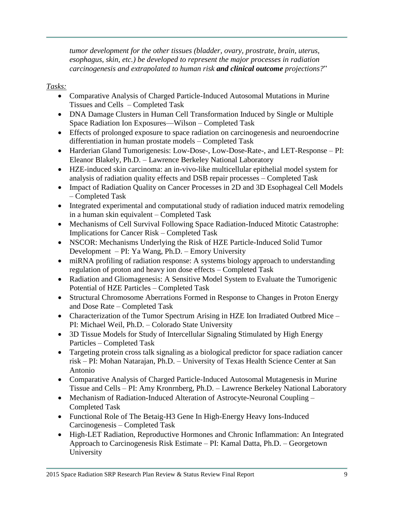*tumor development for the other tissues (bladder, ovary, prostrate, brain, uterus, esophagus, skin, etc.) be developed to represent the major processes in radiation carcinogenesis and extrapolated to human risk and clinical outcome projections?*"

- Comparative Analysis of Charged Particle-Induced Autosomal Mutations in Murine Tissues and Cells – Completed Task
- DNA Damage Clusters in Human Cell Transformation Induced by Single or Multiple Space Radiation Ion Exposures—Wilson – Completed Task
- Effects of prolonged exposure to space radiation on carcinogenesis and neuroendocrine differentiation in human prostate models – Completed Task
- Harderian Gland Tumorigenesis: Low-Dose-, Low-Dose-Rate-, and LET-Response PI: Eleanor Blakely, Ph.D. – Lawrence Berkeley National Laboratory
- HZE-induced skin carcinoma: an in-vivo-like multicellular epithelial model system for analysis of radiation quality effects and DSB repair processes – Completed Task
- Impact of Radiation Quality on Cancer Processes in 2D and 3D Esophageal Cell Models – Completed Task
- Integrated experimental and computational study of radiation induced matrix remodeling in a human skin equivalent – Completed Task
- Mechanisms of Cell Survival Following Space Radiation-Induced Mitotic Catastrophe: Implications for Cancer Risk – Completed Task
- NSCOR: Mechanisms Underlying the Risk of HZE Particle-Induced Solid Tumor Development – PI: Ya Wang, Ph.D. – Emory University
- miRNA profiling of radiation response: A systems biology approach to understanding regulation of proton and heavy ion dose effects – Completed Task
- Radiation and Gliomagenesis: A Sensitive Model System to Evaluate the Tumorigenic Potential of HZE Particles – Completed Task
- Structural Chromosome Aberrations Formed in Response to Changes in Proton Energy and Dose Rate – Completed Task
- Characterization of the Tumor Spectrum Arising in HZE Ion Irradiated Outbred Mice PI: Michael Weil, Ph.D. – Colorado State University
- 3D Tissue Models for Study of Intercellular Signaling Stimulated by High Energy Particles – Completed Task
- Targeting protein cross talk signaling as a biological predictor for space radiation cancer risk – PI: Mohan Natarajan, Ph.D. – University of Texas Health Science Center at San Antonio
- Comparative Analysis of Charged Particle-Induced Autosomal Mutagenesis in Murine Tissue and Cells – PI: Amy Kronrnberg, Ph.D. – Lawrence Berkeley National Laboratory
- Mechanism of Radiation-Induced Alteration of Astrocyte-Neuronal Coupling Completed Task
- Functional Role of The Betaig-H3 Gene In High-Energy Heavy Ions-Induced Carcinogenesis – Completed Task
- High-LET Radiation, Reproductive Hormones and Chronic Inflammation: An Integrated Approach to Carcinogenesis Risk Estimate – PI: Kamal Datta, Ph.D. – Georgetown University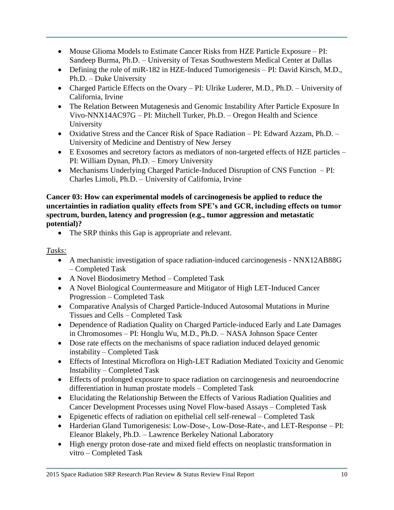- Mouse Glioma Models to Estimate Cancer Risks from HZE Particle Exposure PI: Sandeep Burma, Ph.D. – University of Texas Southwestern Medical Center at Dallas
- Defining the role of miR-182 in HZE-Induced Tumorigenesis PI: David Kirsch, M.D., Ph.D. – Duke University
- Charged Particle Effects on the Ovary PI: Ulrike Luderer, M.D., Ph.D. University of California, Irvine
- The Relation Between Mutagenesis and Genomic Instability After Particle Exposure In Vivo-NNX14AC97G – PI: Mitchell Turker, Ph.D. – Oregon Health and Science University
- Oxidative Stress and the Cancer Risk of Space Radiation PI: Edward Azzam, Ph.D. University of Medicine and Dentistry of New Jersey
- E Exosomes and secretory factors as mediators of non-targeted effects of HZE particles PI: William Dynan, Ph.D. – Emory University
- Mechanisms Underlying Charged Particle-Induced Disruption of CNS Function PI: Charles Limoli, Ph.D. – University of California, Irvine

**Cancer 03: How can experimental models of carcinogenesis be applied to reduce the uncertainties in radiation quality effects from SPE's and GCR, including effects on tumor spectrum, burden, latency and progression (e.g., tumor aggression and metastatic potential)?**

• The SRP thinks this Gap is appropriate and relevant.

- A mechanistic investigation of space radiation-induced carcinogenesis NNX12AB88G – Completed Task
- A Novel Biodosimetry Method Completed Task
- A Novel Biological Countermeasure and Mitigator of High LET-Induced Cancer Progression – Completed Task
- Comparative Analysis of Charged Particle-Induced Autosomal Mutations in Murine Tissues and Cells – Completed Task
- Dependence of Radiation Quality on Charged Particle-induced Early and Late Damages in Chromosomes – PI: Honglu Wu, M.D., Ph.D. – NASA Johnson Space Center
- Dose rate effects on the mechanisms of space radiation induced delayed genomic instability – Completed Task
- Effects of Intestinal Microflora on High-LET Radiation Mediated Toxicity and Genomic Instability – Completed Task
- Effects of prolonged exposure to space radiation on carcinogenesis and neuroendocrine differentiation in human prostate models – Completed Task
- Elucidating the Relationship Between the Effects of Various Radiation Qualities and Cancer Development Processes using Novel Flow-based Assays – Completed Task
- Epigenetic effects of radiation on epithelial cell self-renewal Completed Task
- Harderian Gland Tumorigenesis: Low-Dose-, Low-Dose-Rate-, and LET-Response PI: Eleanor Blakely, Ph.D. – Lawrence Berkeley National Laboratory
- High energy proton dose-rate and mixed field effects on neoplastic transformation in vitro – Completed Task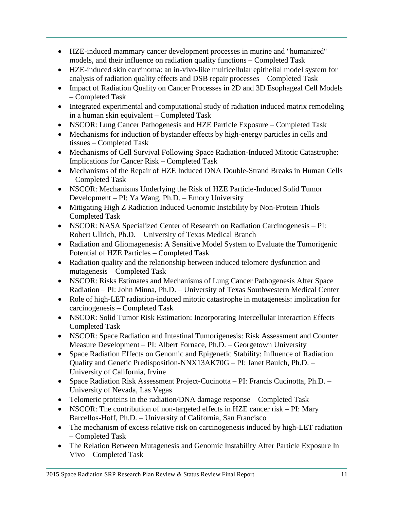- HZE-induced mammary cancer development processes in murine and "humanized" models, and their influence on radiation quality functions – Completed Task
- HZE-induced skin carcinoma: an in-vivo-like multicellular epithelial model system for analysis of radiation quality effects and DSB repair processes – Completed Task
- Impact of Radiation Quality on Cancer Processes in 2D and 3D Esophageal Cell Models – Completed Task
- Integrated experimental and computational study of radiation induced matrix remodeling in a human skin equivalent – Completed Task
- NSCOR: Lung Cancer Pathogenesis and HZE Particle Exposure Completed Task
- Mechanisms for induction of bystander effects by high-energy particles in cells and tissues – Completed Task
- Mechanisms of Cell Survival Following Space Radiation-Induced Mitotic Catastrophe: Implications for Cancer Risk – Completed Task
- Mechanisms of the Repair of HZE Induced DNA Double-Strand Breaks in Human Cells – Completed Task
- NSCOR: Mechanisms Underlying the Risk of HZE Particle-Induced Solid Tumor Development – PI: Ya Wang, Ph.D. – Emory University
- Mitigating High Z Radiation Induced Genomic Instability by Non-Protein Thiols Completed Task
- NSCOR: NASA Specialized Center of Research on Radiation Carcinogenesis PI: Robert Ullrich, Ph.D. – University of Texas Medical Branch
- Radiation and Gliomagenesis: A Sensitive Model System to Evaluate the Tumorigenic Potential of HZE Particles – Completed Task
- Radiation quality and the relationship between induced telomere dysfunction and mutagenesis – Completed Task
- NSCOR: Risks Estimates and Mechanisms of Lung Cancer Pathogenesis After Space Radiation – PI: John Minna, Ph.D. – University of Texas Southwestern Medical Center
- Role of high-LET radiation-induced mitotic catastrophe in mutagenesis: implication for carcinogenesis – Completed Task
- NSCOR: Solid Tumor Risk Estimation: Incorporating Intercellular Interaction Effects Completed Task
- NSCOR: Space Radiation and Intestinal Tumorigenesis: Risk Assessment and Counter Measure Development – PI: Albert Fornace, Ph.D. – Georgetown University
- Space Radiation Effects on Genomic and Epigenetic Stability: Influence of Radiation Quality and Genetic Predisposition-NNX13AK70G – PI: Janet Baulch, Ph.D. – University of California, Irvine
- Space Radiation Risk Assessment Project-Cucinotta PI: Francis Cucinotta, Ph.D. University of Nevada, Las Vegas
- Telomeric proteins in the radiation/DNA damage response Completed Task
- NSCOR: The contribution of non-targeted effects in HZE cancer risk PI: Mary Barcellos-Hoff, Ph.D. – University of California, San Francisco
- The mechanism of excess relative risk on carcinogenesis induced by high-LET radiation – Completed Task
- The Relation Between Mutagenesis and Genomic Instability After Particle Exposure In Vivo – Completed Task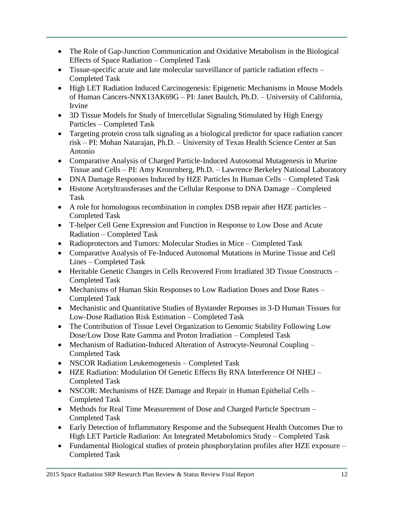- The Role of Gap-Junction Communication and Oxidative Metabolism in the Biological Effects of Space Radiation – Completed Task
- Tissue-specific acute and late molecular surveillance of particle radiation effects Completed Task
- High LET Radiation Induced Carcinogenesis: Epigenetic Mechanisms in Mouse Models of Human Cancers-NNX13AK69G – PI: Janet Baulch, Ph.D. – University of California, Irvine
- 3D Tissue Models for Study of Intercellular Signaling Stimulated by High Energy Particles – Completed Task
- Targeting protein cross talk signaling as a biological predictor for space radiation cancer risk – PI: Mohan Natarajan, Ph.D. – University of Texas Health Science Center at San Antonio
- Comparative Analysis of Charged Particle-Induced Autosomal Mutagenesis in Murine Tissue and Cells – PI: Amy Kronrnberg, Ph.D. – Lawrence Berkeley National Laboratory
- DNA Damage Responses Induced by HZE Particles In Human Cells Completed Task
- Histone Acetyltransferases and the Cellular Response to DNA Damage Completed Task
- A role for homologous recombination in complex DSB repair after HZE particles Completed Task
- T-helper Cell Gene Expression and Function in Response to Low Dose and Acute Radiation – Completed Task
- Radioprotectors and Tumors: Molecular Studies in Mice Completed Task
- Comparative Analysis of Fe-Induced Autosomal Mutations in Murine Tissue and Cell Lines – Completed Task
- Heritable Genetic Changes in Cells Recovered From Irradiated 3D Tissue Constructs Completed Task
- Mechanisms of Human Skin Responses to Low Radiation Doses and Dose Rates Completed Task
- Mechanistic and Quantitative Studies of Bystander Reponses in 3-D Human Tissues for Low-Dose Radiation Risk Estimation – Completed Task
- The Contribution of Tissue Level Organization to Genomic Stability Following Low Dose/Low Dose Rate Gamma and Proton Irradiation – Completed Task
- Mechanism of Radiation-Induced Alteration of Astrocyte-Neuronal Coupling Completed Task
- NSCOR Radiation Leukemogenesis Completed Task
- HZE Radiation: Modulation Of Genetic Effects By RNA Interference Of NHEJ Completed Task
- NSCOR: Mechanisms of HZE Damage and Repair in Human Epithelial Cells Completed Task
- Methods for Real Time Measurement of Dose and Charged Particle Spectrum Completed Task
- Early Detection of Inflammatory Response and the Subsequent Health Outcomes Due to High LET Particle Radiation: An Integrated Metabolomics Study – Completed Task
- Fundamental Biological studies of protein phosphorylation profiles after HZE exposure Completed Task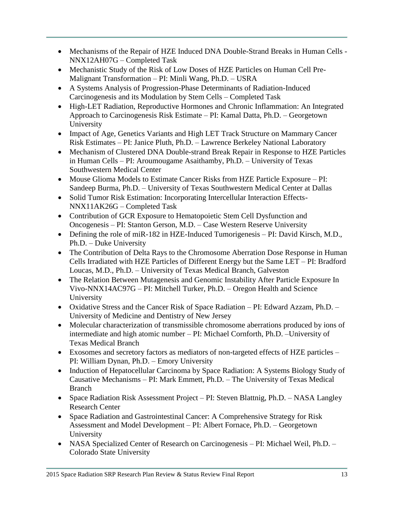- Mechanisms of the Repair of HZE Induced DNA Double-Strand Breaks in Human Cells NNX12AH07G – Completed Task
- Mechanistic Study of the Risk of Low Doses of HZE Particles on Human Cell Pre-Malignant Transformation – PI: Minli Wang, Ph.D. – USRA
- A Systems Analysis of Progression-Phase Determinants of Radiation-Induced Carcinogenesis and its Modulation by Stem Cells – Completed Task
- High-LET Radiation, Reproductive Hormones and Chronic Inflammation: An Integrated Approach to Carcinogenesis Risk Estimate – PI: Kamal Datta, Ph.D. – Georgetown University
- Impact of Age, Genetics Variants and High LET Track Structure on Mammary Cancer Risk Estimates – PI: Janice Pluth, Ph.D. – Lawrence Berkeley National Laboratory
- Mechanism of Clustered DNA Double-strand Break Repair in Response to HZE Particles in Human Cells – PI: Aroumougame Asaithamby, Ph.D. – University of Texas Southwestern Medical Center
- Mouse Glioma Models to Estimate Cancer Risks from HZE Particle Exposure PI: Sandeep Burma, Ph.D. – University of Texas Southwestern Medical Center at Dallas
- Solid Tumor Risk Estimation: Incorporating Intercellular Interaction Effects-NNX11AK26G – Completed Task
- Contribution of GCR Exposure to Hematopoietic Stem Cell Dysfunction and Oncogenesis – PI: Stanton Gerson, M.D. – Case Western Reserve University
- Defining the role of miR-182 in HZE-Induced Tumorigenesis PI: David Kirsch, M.D., Ph.D. – Duke University
- The Contribution of Delta Rays to the Chromosome Aberration Dose Response in Human Cells Irradiated with HZE Particles of Different Energy but the Same LET – PI: Bradford Loucas, M.D., Ph.D. – University of Texas Medical Branch, Galveston
- The Relation Between Mutagenesis and Genomic Instability After Particle Exposure In Vivo-NNX14AC97G – PI: Mitchell Turker, Ph.D. – Oregon Health and Science University
- Oxidative Stress and the Cancer Risk of Space Radiation PI: Edward Azzam, Ph.D. University of Medicine and Dentistry of New Jersey
- Molecular characterization of transmissible chromosome aberrations produced by ions of intermediate and high atomic number – PI: Michael Cornforth, Ph.D. –University of Texas Medical Branch
- Exosomes and secretory factors as mediators of non-targeted effects of HZE particles PI: William Dynan, Ph.D. – Emory University
- Induction of Hepatocellular Carcinoma by Space Radiation: A Systems Biology Study of Causative Mechanisms – PI: Mark Emmett, Ph.D. – The University of Texas Medical Branch
- Space Radiation Risk Assessment Project PI: Steven Blattnig, Ph.D. NASA Langley Research Center
- Space Radiation and Gastrointestinal Cancer: A Comprehensive Strategy for Risk Assessment and Model Development – PI: Albert Fornace, Ph.D. – Georgetown University
- NASA Specialized Center of Research on Carcinogenesis PI: Michael Weil, Ph.D. Colorado State University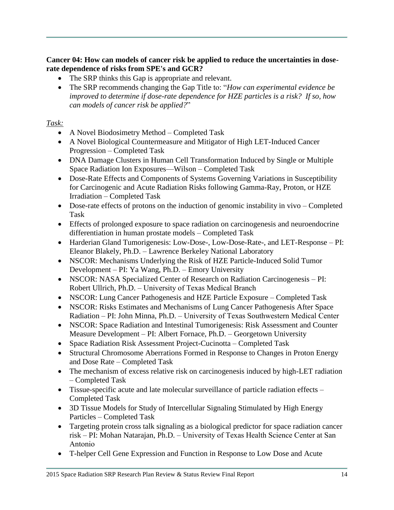### **Cancer 04: How can models of cancer risk be applied to reduce the uncertainties in doserate dependence of risks from SPE's and GCR?**

- The SRP thinks this Gap is appropriate and relevant.
- The SRP recommends changing the Gap Title to: "*How can experimental evidence be improved to determine if dose-rate dependence for HZE particles is a risk? If so, how can models of cancer risk be applied?*"

- A Novel Biodosimetry Method Completed Task
- A Novel Biological Countermeasure and Mitigator of High LET-Induced Cancer Progression – Completed Task
- DNA Damage Clusters in Human Cell Transformation Induced by Single or Multiple Space Radiation Ion Exposures—Wilson – Completed Task
- Dose-Rate Effects and Components of Systems Governing Variations in Susceptibility for Carcinogenic and Acute Radiation Risks following Gamma-Ray, Proton, or HZE Irradiation – Completed Task
- Dose-rate effects of protons on the induction of genomic instability in vivo Completed Task
- Effects of prolonged exposure to space radiation on carcinogenesis and neuroendocrine differentiation in human prostate models – Completed Task
- Harderian Gland Tumorigenesis: Low-Dose-, Low-Dose-Rate-, and LET-Response PI: Eleanor Blakely, Ph.D. – Lawrence Berkeley National Laboratory
- NSCOR: Mechanisms Underlying the Risk of HZE Particle-Induced Solid Tumor Development – PI: Ya Wang, Ph.D. – Emory University
- NSCOR: NASA Specialized Center of Research on Radiation Carcinogenesis PI: Robert Ullrich, Ph.D. – University of Texas Medical Branch
- NSCOR: Lung Cancer Pathogenesis and HZE Particle Exposure Completed Task
- NSCOR: Risks Estimates and Mechanisms of Lung Cancer Pathogenesis After Space Radiation – PI: John Minna, Ph.D. – University of Texas Southwestern Medical Center
- NSCOR: Space Radiation and Intestinal Tumorigenesis: Risk Assessment and Counter Measure Development – PI: Albert Fornace, Ph.D. – Georgetown University
- Space Radiation Risk Assessment Project-Cucinotta Completed Task
- Structural Chromosome Aberrations Formed in Response to Changes in Proton Energy and Dose Rate – Completed Task
- The mechanism of excess relative risk on carcinogenesis induced by high-LET radiation – Completed Task
- Tissue-specific acute and late molecular surveillance of particle radiation effects Completed Task
- 3D Tissue Models for Study of Intercellular Signaling Stimulated by High Energy Particles – Completed Task
- Targeting protein cross talk signaling as a biological predictor for space radiation cancer risk – PI: Mohan Natarajan, Ph.D. – University of Texas Health Science Center at San Antonio
- T-helper Cell Gene Expression and Function in Response to Low Dose and Acute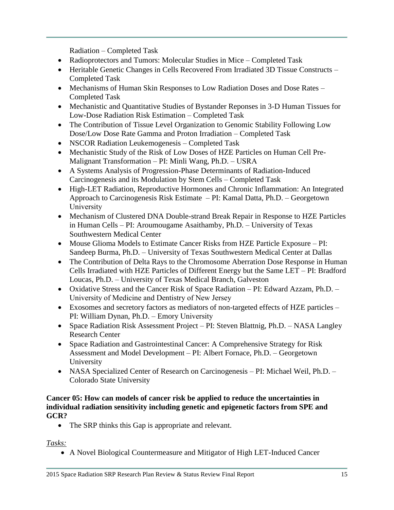Radiation – Completed Task

- Radioprotectors and Tumors: Molecular Studies in Mice Completed Task
- Heritable Genetic Changes in Cells Recovered From Irradiated 3D Tissue Constructs Completed Task
- Mechanisms of Human Skin Responses to Low Radiation Doses and Dose Rates Completed Task
- Mechanistic and Quantitative Studies of Bystander Reponses in 3-D Human Tissues for Low-Dose Radiation Risk Estimation – Completed Task
- The Contribution of Tissue Level Organization to Genomic Stability Following Low Dose/Low Dose Rate Gamma and Proton Irradiation – Completed Task
- NSCOR Radiation Leukemogenesis Completed Task
- Mechanistic Study of the Risk of Low Doses of HZE Particles on Human Cell Pre-Malignant Transformation – PI: Minli Wang, Ph.D. – USRA
- A Systems Analysis of Progression-Phase Determinants of Radiation-Induced Carcinogenesis and its Modulation by Stem Cells – Completed Task
- High-LET Radiation, Reproductive Hormones and Chronic Inflammation: An Integrated Approach to Carcinogenesis Risk Estimate – PI: Kamal Datta, Ph.D. – Georgetown University
- Mechanism of Clustered DNA Double-strand Break Repair in Response to HZE Particles in Human Cells – PI: Aroumougame Asaithamby, Ph.D. – University of Texas Southwestern Medical Center
- Mouse Glioma Models to Estimate Cancer Risks from HZE Particle Exposure PI: Sandeep Burma, Ph.D. – University of Texas Southwestern Medical Center at Dallas
- The Contribution of Delta Rays to the Chromosome Aberration Dose Response in Human Cells Irradiated with HZE Particles of Different Energy but the Same LET – PI: Bradford Loucas, Ph.D. – University of Texas Medical Branch, Galveston
- Oxidative Stress and the Cancer Risk of Space Radiation PI: Edward Azzam, Ph.D. University of Medicine and Dentistry of New Jersey
- Exosomes and secretory factors as mediators of non-targeted effects of HZE particles PI: William Dynan, Ph.D. – Emory University
- Space Radiation Risk Assessment Project PI: Steven Blattnig, Ph.D. NASA Langley Research Center
- Space Radiation and Gastrointestinal Cancer: A Comprehensive Strategy for Risk Assessment and Model Development – PI: Albert Fornace, Ph.D. – Georgetown University
- NASA Specialized Center of Research on Carcinogenesis PI: Michael Weil, Ph.D. Colorado State University

#### **Cancer 05: How can models of cancer risk be applied to reduce the uncertainties in individual radiation sensitivity including genetic and epigenetic factors from SPE and GCR?**

• The SRP thinks this Gap is appropriate and relevant.

*Tasks:*

A Novel Biological Countermeasure and Mitigator of High LET-Induced Cancer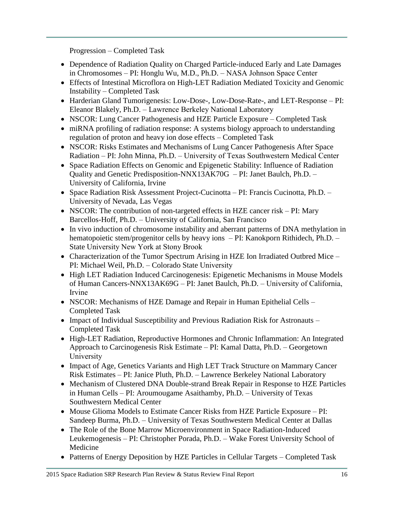Progression – Completed Task

- Dependence of Radiation Quality on Charged Particle-induced Early and Late Damages in Chromosomes – PI: Honglu Wu, M.D., Ph.D. – NASA Johnson Space Center
- Effects of Intestinal Microflora on High-LET Radiation Mediated Toxicity and Genomic Instability – Completed Task
- Harderian Gland Tumorigenesis: Low-Dose-, Low-Dose-Rate-, and LET-Response PI: Eleanor Blakely, Ph.D. – Lawrence Berkeley National Laboratory
- NSCOR: Lung Cancer Pathogenesis and HZE Particle Exposure Completed Task
- miRNA profiling of radiation response: A systems biology approach to understanding regulation of proton and heavy ion dose effects – Completed Task
- NSCOR: Risks Estimates and Mechanisms of Lung Cancer Pathogenesis After Space Radiation – PI: John Minna, Ph.D. – University of Texas Southwestern Medical Center
- Space Radiation Effects on Genomic and Epigenetic Stability: Influence of Radiation Quality and Genetic Predisposition-NNX13AK70G – PI: Janet Baulch, Ph.D. – University of California, Irvine
- Space Radiation Risk Assessment Project-Cucinotta PI: Francis Cucinotta, Ph.D. University of Nevada, Las Vegas
- NSCOR: The contribution of non-targeted effects in HZE cancer risk PI: Mary Barcellos-Hoff, Ph.D. – University of California, San Francisco
- In vivo induction of chromosome instability and aberrant patterns of DNA methylation in hematopoietic stem/progenitor cells by heavy ions – PI: Kanokporn Rithidech, Ph.D. – State University New York at Stony Brook
- Characterization of the Tumor Spectrum Arising in HZE Ion Irradiated Outbred Mice PI: Michael Weil, Ph.D. – Colorado State University
- High LET Radiation Induced Carcinogenesis: Epigenetic Mechanisms in Mouse Models of Human Cancers-NNX13AK69G – PI: Janet Baulch, Ph.D. – University of California, Irvine
- NSCOR: Mechanisms of HZE Damage and Repair in Human Epithelial Cells Completed Task
- Impact of Individual Susceptibility and Previous Radiation Risk for Astronauts Completed Task
- High-LET Radiation, Reproductive Hormones and Chronic Inflammation: An Integrated Approach to Carcinogenesis Risk Estimate – PI: Kamal Datta, Ph.D. – Georgetown University
- Impact of Age, Genetics Variants and High LET Track Structure on Mammary Cancer Risk Estimates – PI: Janice Pluth, Ph.D. – Lawrence Berkeley National Laboratory
- Mechanism of Clustered DNA Double-strand Break Repair in Response to HZE Particles in Human Cells – PI: Aroumougame Asaithamby, Ph.D. – University of Texas Southwestern Medical Center
- Mouse Glioma Models to Estimate Cancer Risks from HZE Particle Exposure PI: Sandeep Burma, Ph.D. – University of Texas Southwestern Medical Center at Dallas
- The Role of the Bone Marrow Microenvironment in Space Radiation-Induced Leukemogenesis – PI: Christopher Porada, Ph.D. – Wake Forest University School of Medicine
- Patterns of Energy Deposition by HZE Particles in Cellular Targets Completed Task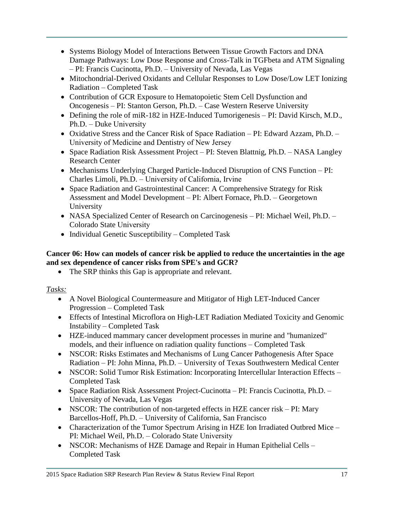- Systems Biology Model of Interactions Between Tissue Growth Factors and DNA Damage Pathways: Low Dose Response and Cross-Talk in TGFbeta and ATM Signaling – PI: Francis Cucinotta, Ph.D. – University of Nevada, Las Vegas
- Mitochondrial-Derived Oxidants and Cellular Responses to Low Dose/Low LET Ionizing Radiation – Completed Task
- Contribution of GCR Exposure to Hematopoietic Stem Cell Dysfunction and Oncogenesis – PI: Stanton Gerson, Ph.D. – Case Western Reserve University
- Defining the role of miR-182 in HZE-Induced Tumorigenesis PI: David Kirsch, M.D., Ph.D. – Duke University
- Oxidative Stress and the Cancer Risk of Space Radiation PI: Edward Azzam, Ph.D. University of Medicine and Dentistry of New Jersey
- Space Radiation Risk Assessment Project PI: Steven Blattnig, Ph.D. NASA Langley Research Center
- Mechanisms Underlying Charged Particle-Induced Disruption of CNS Function PI: Charles Limoli, Ph.D. – University of California, Irvine
- Space Radiation and Gastrointestinal Cancer: A Comprehensive Strategy for Risk Assessment and Model Development – PI: Albert Fornace, Ph.D. – Georgetown University
- NASA Specialized Center of Research on Carcinogenesis PI: Michael Weil, Ph.D. Colorado State University
- Individual Genetic Susceptibility Completed Task

## **Cancer 06: How can models of cancer risk be applied to reduce the uncertainties in the age and sex dependence of cancer risks from SPE's and GCR?**

• The SRP thinks this Gap is appropriate and relevant.

- A Novel Biological Countermeasure and Mitigator of High LET-Induced Cancer Progression – Completed Task
- Effects of Intestinal Microflora on High-LET Radiation Mediated Toxicity and Genomic Instability – Completed Task
- HZE-induced mammary cancer development processes in murine and "humanized" models, and their influence on radiation quality functions – Completed Task
- NSCOR: Risks Estimates and Mechanisms of Lung Cancer Pathogenesis After Space Radiation – PI: John Minna, Ph.D. – University of Texas Southwestern Medical Center
- NSCOR: Solid Tumor Risk Estimation: Incorporating Intercellular Interaction Effects Completed Task
- Space Radiation Risk Assessment Project-Cucinotta PI: Francis Cucinotta, Ph.D. University of Nevada, Las Vegas
- NSCOR: The contribution of non-targeted effects in HZE cancer risk PI: Mary Barcellos-Hoff, Ph.D. – University of California, San Francisco
- Characterization of the Tumor Spectrum Arising in HZE Ion Irradiated Outbred Mice PI: Michael Weil, Ph.D. – Colorado State University
- NSCOR: Mechanisms of HZE Damage and Repair in Human Epithelial Cells Completed Task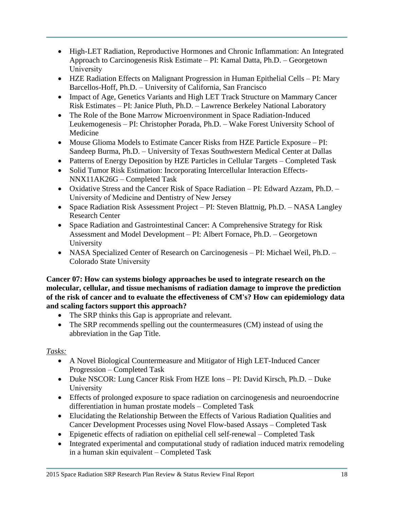- High-LET Radiation, Reproductive Hormones and Chronic Inflammation: An Integrated Approach to Carcinogenesis Risk Estimate – PI: Kamal Datta, Ph.D. – Georgetown University
- HZE Radiation Effects on Malignant Progression in Human Epithelial Cells PI: Mary Barcellos-Hoff, Ph.D. – University of California, San Francisco
- Impact of Age, Genetics Variants and High LET Track Structure on Mammary Cancer Risk Estimates – PI: Janice Pluth, Ph.D. – Lawrence Berkeley National Laboratory
- The Role of the Bone Marrow Microenvironment in Space Radiation-Induced Leukemogenesis – PI: Christopher Porada, Ph.D. – Wake Forest University School of Medicine
- Mouse Glioma Models to Estimate Cancer Risks from HZE Particle Exposure PI: Sandeep Burma, Ph.D. – University of Texas Southwestern Medical Center at Dallas
- Patterns of Energy Deposition by HZE Particles in Cellular Targets Completed Task
- Solid Tumor Risk Estimation: Incorporating Intercellular Interaction Effects-NNX11AK26G – Completed Task
- Oxidative Stress and the Cancer Risk of Space Radiation PI: Edward Azzam, Ph.D. University of Medicine and Dentistry of New Jersey
- Space Radiation Risk Assessment Project PI: Steven Blattnig, Ph.D. NASA Langley Research Center
- Space Radiation and Gastrointestinal Cancer: A Comprehensive Strategy for Risk Assessment and Model Development – PI: Albert Fornace, Ph.D. – Georgetown University
- NASA Specialized Center of Research on Carcinogenesis PI: Michael Weil, Ph.D. Colorado State University

#### **Cancer 07: How can systems biology approaches be used to integrate research on the molecular, cellular, and tissue mechanisms of radiation damage to improve the prediction of the risk of cancer and to evaluate the effectiveness of CM's? How can epidemiology data and scaling factors support this approach?**

- The SRP thinks this Gap is appropriate and relevant.
- The SRP recommends spelling out the countermeasures (CM) instead of using the abbreviation in the Gap Title.

- A Novel Biological Countermeasure and Mitigator of High LET-Induced Cancer Progression – Completed Task
- Duke NSCOR: Lung Cancer Risk From HZE Ions PI: David Kirsch, Ph.D. Duke University
- Effects of prolonged exposure to space radiation on carcinogenesis and neuroendocrine differentiation in human prostate models – Completed Task
- Elucidating the Relationship Between the Effects of Various Radiation Qualities and Cancer Development Processes using Novel Flow-based Assays – Completed Task
- Epigenetic effects of radiation on epithelial cell self-renewal Completed Task
- Integrated experimental and computational study of radiation induced matrix remodeling in a human skin equivalent – Completed Task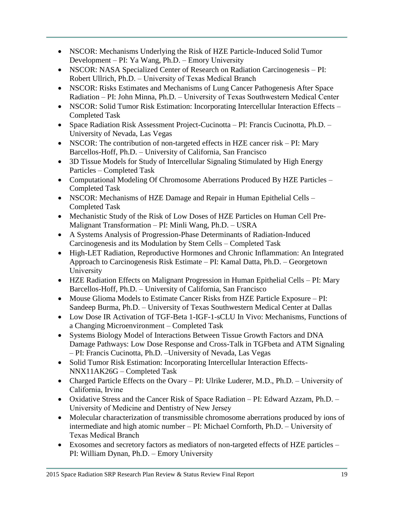- NSCOR: Mechanisms Underlying the Risk of HZE Particle-Induced Solid Tumor Development – PI: Ya Wang, Ph.D. – Emory University
- NSCOR: NASA Specialized Center of Research on Radiation Carcinogenesis PI: Robert Ullrich, Ph.D. – University of Texas Medical Branch
- NSCOR: Risks Estimates and Mechanisms of Lung Cancer Pathogenesis After Space Radiation – PI: John Minna, Ph.D. – University of Texas Southwestern Medical Center
- NSCOR: Solid Tumor Risk Estimation: Incorporating Intercellular Interaction Effects Completed Task
- Space Radiation Risk Assessment Project-Cucinotta PI: Francis Cucinotta, Ph.D. University of Nevada, Las Vegas
- NSCOR: The contribution of non-targeted effects in HZE cancer risk PI: Mary Barcellos-Hoff, Ph.D. – University of California, San Francisco
- 3D Tissue Models for Study of Intercellular Signaling Stimulated by High Energy Particles – Completed Task
- Computational Modeling Of Chromosome Aberrations Produced By HZE Particles Completed Task
- NSCOR: Mechanisms of HZE Damage and Repair in Human Epithelial Cells Completed Task
- Mechanistic Study of the Risk of Low Doses of HZE Particles on Human Cell Pre-Malignant Transformation – PI: Minli Wang, Ph.D. – USRA
- A Systems Analysis of Progression-Phase Determinants of Radiation-Induced Carcinogenesis and its Modulation by Stem Cells – Completed Task
- High-LET Radiation, Reproductive Hormones and Chronic Inflammation: An Integrated Approach to Carcinogenesis Risk Estimate – PI: Kamal Datta, Ph.D. – Georgetown University
- HZE Radiation Effects on Malignant Progression in Human Epithelial Cells PI: Mary Barcellos-Hoff, Ph.D. – University of California, San Francisco
- Mouse Glioma Models to Estimate Cancer Risks from HZE Particle Exposure PI: Sandeep Burma, Ph.D. – University of Texas Southwestern Medical Center at Dallas
- Low Dose IR Activation of TGF-Beta 1-IGF-1-sCLU In Vivo: Mechanisms, Functions of a Changing Microenvironment – Completed Task
- Systems Biology Model of Interactions Between Tissue Growth Factors and DNA Damage Pathways: Low Dose Response and Cross-Talk in TGFbeta and ATM Signaling – PI: Francis Cucinotta, Ph.D. –University of Nevada, Las Vegas
- Solid Tumor Risk Estimation: Incorporating Intercellular Interaction Effects-NNX11AK26G – Completed Task
- Charged Particle Effects on the Ovary PI: Ulrike Luderer, M.D., Ph.D. University of California, Irvine
- Oxidative Stress and the Cancer Risk of Space Radiation PI: Edward Azzam, Ph.D. University of Medicine and Dentistry of New Jersey
- Molecular characterization of transmissible chromosome aberrations produced by ions of intermediate and high atomic number – PI: Michael Cornforth, Ph.D. – University of Texas Medical Branch
- Exosomes and secretory factors as mediators of non-targeted effects of HZE particles PI: William Dynan, Ph.D. – Emory University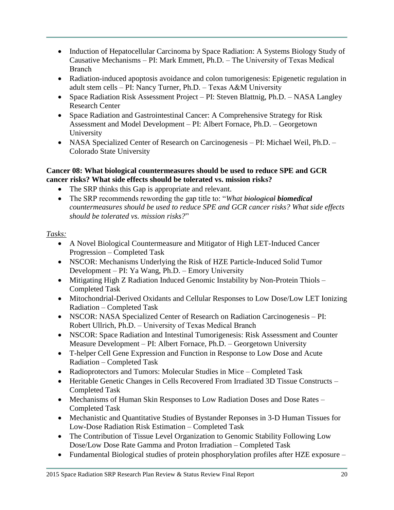- Induction of Hepatocellular Carcinoma by Space Radiation: A Systems Biology Study of Causative Mechanisms – PI: Mark Emmett, Ph.D. – The University of Texas Medical Branch
- Radiation-induced apoptosis avoidance and colon tumorigenesis: Epigenetic regulation in adult stem cells – PI: Nancy Turner, Ph.D. – Texas A&M University
- Space Radiation Risk Assessment Project PI: Steven Blattnig, Ph.D. NASA Langley Research Center
- Space Radiation and Gastrointestinal Cancer: A Comprehensive Strategy for Risk Assessment and Model Development – PI: Albert Fornace, Ph.D. – Georgetown University
- NASA Specialized Center of Research on Carcinogenesis PI: Michael Weil, Ph.D. Colorado State University

### **Cancer 08: What biological countermeasures should be used to reduce SPE and GCR cancer risks? What side effects should be tolerated vs. mission risks?**

- The SRP thinks this Gap is appropriate and relevant.
- The SRP recommends rewording the gap title to: "*What biological biomedical countermeasures should be used to reduce SPE and GCR cancer risks? What side effects should be tolerated vs. mission risks?*"

- A Novel Biological Countermeasure and Mitigator of High LET-Induced Cancer Progression – Completed Task
- NSCOR: Mechanisms Underlying the Risk of HZE Particle-Induced Solid Tumor Development – PI: Ya Wang, Ph.D. – Emory University
- Mitigating High Z Radiation Induced Genomic Instability by Non-Protein Thiols Completed Task
- Mitochondrial-Derived Oxidants and Cellular Responses to Low Dose/Low LET Ionizing Radiation – Completed Task
- NSCOR: NASA Specialized Center of Research on Radiation Carcinogenesis PI: Robert Ullrich, Ph.D. – University of Texas Medical Branch
- NSCOR: Space Radiation and Intestinal Tumorigenesis: Risk Assessment and Counter Measure Development – PI: Albert Fornace, Ph.D. – Georgetown University
- T-helper Cell Gene Expression and Function in Response to Low Dose and Acute Radiation – Completed Task
- Radioprotectors and Tumors: Molecular Studies in Mice Completed Task
- Heritable Genetic Changes in Cells Recovered From Irradiated 3D Tissue Constructs Completed Task
- Mechanisms of Human Skin Responses to Low Radiation Doses and Dose Rates Completed Task
- Mechanistic and Quantitative Studies of Bystander Reponses in 3-D Human Tissues for Low-Dose Radiation Risk Estimation – Completed Task
- The Contribution of Tissue Level Organization to Genomic Stability Following Low Dose/Low Dose Rate Gamma and Proton Irradiation – Completed Task
- Fundamental Biological studies of protein phosphorylation profiles after HZE exposure –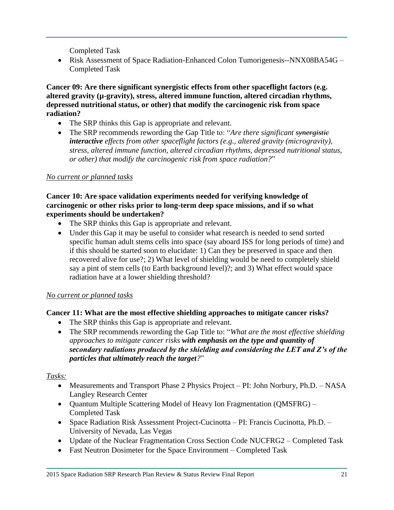Completed Task

• Risk Assessment of Space Radiation-Enhanced Colon Tumorigenesis--NNX08BA54G – Completed Task

**Cancer 09: Are there significant synergistic effects from other spaceflight factors (e.g. altered gravity (µ-gravity), stress, altered immune function, altered circadian rhythms, depressed nutritional status, or other) that modify the carcinogenic risk from space radiation?**

- The SRP thinks this Gap is appropriate and relevant.
- The SRP recommends rewording the Gap Title to: "*Are there significant synergistic interactive effects from other spaceflight factors (e.g., altered gravity (microgravity), stress, altered immune function, altered circadian rhythms, depressed nutritional status, or other) that modify the carcinogenic risk from space radiation?*"

## *No current or planned tasks*

#### **Cancer 10: Are space validation experiments needed for verifying knowledge of carcinogenic or other risks prior to long-term deep space missions, and if so what experiments should be undertaken?**

- The SRP thinks this Gap is appropriate and relevant.
- Under this Gap it may be useful to consider what research is needed to send sorted specific human adult stems cells into space (say aboard ISS for long periods of time) and if this should be started soon to elucidate: 1) Can they be preserved in space and then recovered alive for use?; 2) What level of shielding would be need to completely shield say a pint of stem cells (to Earth background level)?; and 3) What effect would space radiation have at a lower shielding threshold?

## *No current or planned tasks*

## **Cancer 11: What are the most effective shielding approaches to mitigate cancer risks?**

- The SRP thinks this Gap is appropriate and relevant.
- The SRP recommends rewording the Gap Title to: "*What are the most effective shielding approaches to mitigate cancer risks with emphasis on the type and quantity of secondary radiations produced by the shielding and considering the LET and Z's of the particles that ultimately reach the target?*"

- Measurements and Transport Phase 2 Physics Project PI: John Norbury, Ph.D. NASA Langley Research Center
- Quantum Multiple Scattering Model of Heavy Ion Fragmentation (QMSFRG) Completed Task
- Space Radiation Risk Assessment Project-Cucinotta PI: Francis Cucinotta, Ph.D. University of Nevada, Las Vegas
- Update of the Nuclear Fragmentation Cross Section Code NUCFRG2 Completed Task
- Fast Neutron Dosimeter for the Space Environment Completed Task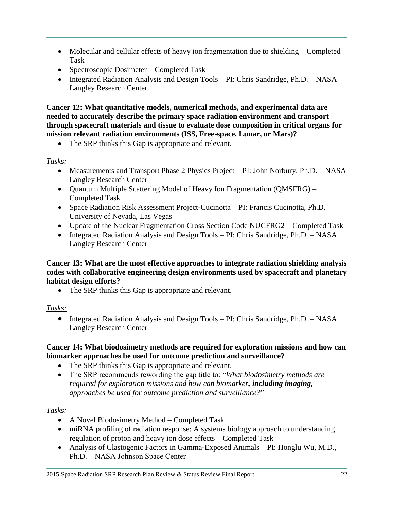- Molecular and cellular effects of heavy ion fragmentation due to shielding Completed Task
- Spectroscopic Dosimeter Completed Task
- Integrated Radiation Analysis and Design Tools PI: Chris Sandridge, Ph.D. NASA Langley Research Center

**Cancer 12: What quantitative models, numerical methods, and experimental data are needed to accurately describe the primary space radiation environment and transport through spacecraft materials and tissue to evaluate dose composition in critical organs for mission relevant radiation environments (ISS, Free-space, Lunar, or Mars)?**

• The SRP thinks this Gap is appropriate and relevant.

# *Tasks:*

- Measurements and Transport Phase 2 Physics Project PI: John Norbury, Ph.D. NASA Langley Research Center
- Quantum Multiple Scattering Model of Heavy Ion Fragmentation (QMSFRG) Completed Task
- Space Radiation Risk Assessment Project-Cucinotta PI: Francis Cucinotta, Ph.D. University of Nevada, Las Vegas
- Update of the Nuclear Fragmentation Cross Section Code NUCFRG2 Completed Task
- Integrated Radiation Analysis and Design Tools PI: Chris Sandridge, Ph.D. NASA Langley Research Center

#### **Cancer 13: What are the most effective approaches to integrate radiation shielding analysis codes with collaborative engineering design environments used by spacecraft and planetary habitat design efforts?**

The SRP thinks this Gap is appropriate and relevant.

# *Tasks:*

• Integrated Radiation Analysis and Design Tools – PI: Chris Sandridge, Ph.D. – NASA Langley Research Center

#### **Cancer 14: What biodosimetry methods are required for exploration missions and how can biomarker approaches be used for outcome prediction and surveillance?**

- The SRP thinks this Gap is appropriate and relevant.
- The SRP recommends rewording the gap title to: "*What biodosimetry methods are required for exploration missions and how can biomarker, including imaging, approaches be used for outcome prediction and surveillance?*"

- A Novel Biodosimetry Method Completed Task
- miRNA profiling of radiation response: A systems biology approach to understanding regulation of proton and heavy ion dose effects – Completed Task
- Analysis of Clastogenic Factors in Gamma-Exposed Animals PI: Honglu Wu, M.D., Ph.D. – NASA Johnson Space Center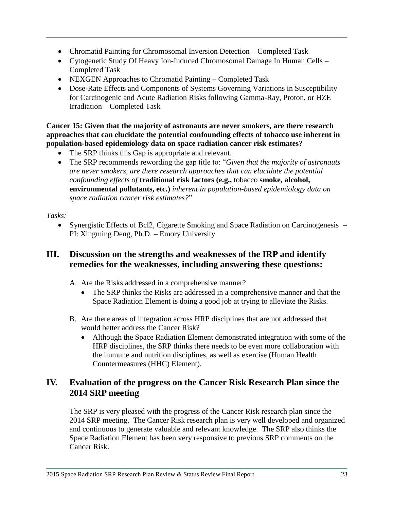- Chromatid Painting for Chromosomal Inversion Detection Completed Task
- Cytogenetic Study Of Heavy Ion-Induced Chromosomal Damage In Human Cells Completed Task
- NEXGEN Approaches to Chromatid Painting Completed Task
- Dose-Rate Effects and Components of Systems Governing Variations in Susceptibility for Carcinogenic and Acute Radiation Risks following Gamma-Ray, Proton, or HZE Irradiation – Completed Task

**Cancer 15: Given that the majority of astronauts are never smokers, are there research approaches that can elucidate the potential confounding effects of tobacco use inherent in population-based epidemiology data on space radiation cancer risk estimates?**

- The SRP thinks this Gap is appropriate and relevant.
- The SRP recommends rewording the gap title to: "*Given that the majority of astronauts are never smokers, are there research approaches that can elucidate the potential confounding effects of* **traditional risk factors (e.g.,** tobacco **smoke, alcohol, environmental pollutants, etc.)** *inherent in population-based epidemiology data on space radiation cancer risk estimates?*"

# *Tasks:*

• Synergistic Effects of Bcl2, Cigarette Smoking and Space Radiation on Carcinogenesis – PI: Xingming Deng, Ph.D. – Emory University

# **III. Discussion on the strengths and weaknesses of the IRP and identify remedies for the weaknesses, including answering these questions:**

- A. Are the Risks addressed in a comprehensive manner?
	- The SRP thinks the Risks are addressed in a comprehensive manner and that the Space Radiation Element is doing a good job at trying to alleviate the Risks.
- B. Are there areas of integration across HRP disciplines that are not addressed that would better address the Cancer Risk?
	- Although the Space Radiation Element demonstrated integration with some of the HRP disciplines, the SRP thinks there needs to be even more collaboration with the immune and nutrition disciplines, as well as exercise (Human Health Countermeasures (HHC) Element).

# **IV. Evaluation of the progress on the Cancer Risk Research Plan since the 2014 SRP meeting**

The SRP is very pleased with the progress of the Cancer Risk research plan since the 2014 SRP meeting. The Cancer Risk research plan is very well developed and organized and continuous to generate valuable and relevant knowledge. The SRP also thinks the Space Radiation Element has been very responsive to previous SRP comments on the Cancer Risk.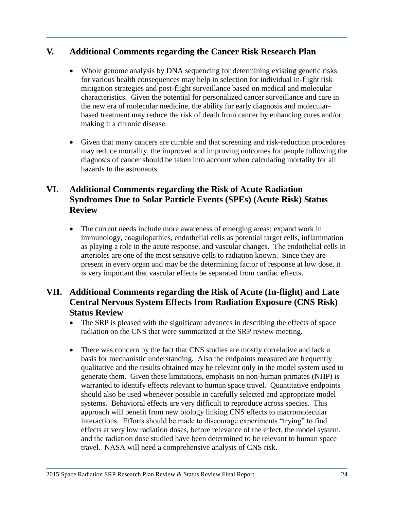# **V. Additional Comments regarding the Cancer Risk Research Plan**

- Whole genome analysis by DNA sequencing for determining existing genetic risks for various health consequences may help in selection for individual in-flight risk mitigation strategies and post-flight surveillance based on medical and molecular characteristics. Given the potential for personalized cancer surveillance and care in the new era of molecular medicine, the ability for early diagnosis and molecularbased treatment may reduce the risk of death from cancer by enhancing cures and/or making it a chronic disease.
- Given that many cancers are curable and that screening and risk-reduction procedures may reduce mortality, the improved and improving outcomes for people following the diagnosis of cancer should be taken into account when calculating mortality for all hazards to the astronauts.

# **VI. Additional Comments regarding the Risk of Acute Radiation Syndromes Due to Solar Particle Events (SPEs) (Acute Risk) Status Review**

 The current needs include more awareness of emerging areas: expand work in immunology, coagulopathies, endothelial cells as potential target cells, inflammation as playing a role in the acute response, and vascular changes. The endothelial cells in arterioles are one of the most sensitive cells to radiation known. Since they are present in every organ and may be the determining factor of response at low dose, it is very important that vascular effects be separated from cardiac effects.

# **VII. Additional Comments regarding the Risk of Acute (In-flight) and Late Central Nervous System Effects from Radiation Exposure (CNS Risk) Status Review**

- The SRP is pleased with the significant advances in describing the effects of space radiation on the CNS that were summarized at the SRP review meeting.
- There was concern by the fact that CNS studies are mostly correlative and lack a basis for mechanistic understanding. Also the endpoints measured are frequently qualitative and the results obtained may be relevant only in the model system used to generate them. Given these limitations, emphasis on non-human primates (NHP) is warranted to identify effects relevant to human space travel. Quantitative endpoints should also be used whenever possible in carefully selected and appropriate model systems. Behavioral effects are very difficult to reproduce across species. This approach will benefit from new biology linking CNS effects to macromolecular interactions. Efforts should be made to discourage experiments "trying" to find effects at very low radiation doses, before relevance of the effect, the model system, and the radiation dose studied have been determined to be relevant to human space travel. NASA will need a comprehensive analysis of CNS risk.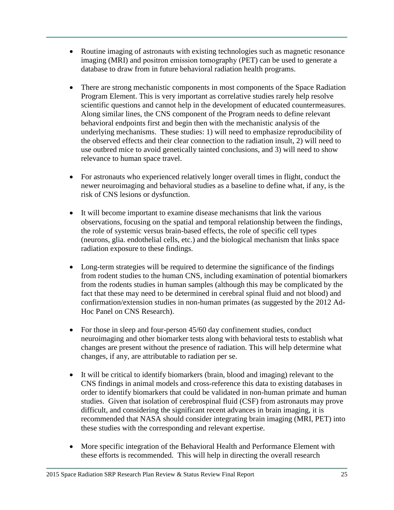- Routine imaging of astronauts with existing technologies such as magnetic resonance imaging (MRI) and positron emission tomography (PET) can be used to generate a database to draw from in future behavioral radiation health programs.
- There are strong mechanistic components in most components of the Space Radiation Program Element. This is very important as correlative studies rarely help resolve scientific questions and cannot help in the development of educated countermeasures. Along similar lines, the CNS component of the Program needs to define relevant behavioral endpoints first and begin then with the mechanistic analysis of the underlying mechanisms. These studies: 1) will need to emphasize reproducibility of the observed effects and their clear connection to the radiation insult, 2) will need to use outbred mice to avoid genetically tainted conclusions, and 3) will need to show relevance to human space travel.
- For astronauts who experienced relatively longer overall times in flight, conduct the newer neuroimaging and behavioral studies as a baseline to define what, if any, is the risk of CNS lesions or dysfunction.
- It will become important to examine disease mechanisms that link the various observations, focusing on the spatial and temporal relationship between the findings, the role of systemic versus brain-based effects, the role of specific cell types (neurons, glia. endothelial cells, etc.) and the biological mechanism that links space radiation exposure to these findings.
- Long-term strategies will be required to determine the significance of the findings from rodent studies to the human CNS, including examination of potential biomarkers from the rodents studies in human samples (although this may be complicated by the fact that these may need to be determined in cerebral spinal fluid and not blood) and confirmation/extension studies in non-human primates (as suggested by the 2012 Ad-Hoc Panel on CNS Research).
- For those in sleep and four-person 45/60 day confinement studies, conduct neuroimaging and other biomarker tests along with behavioral tests to establish what changes are present without the presence of radiation. This will help determine what changes, if any, are attributable to radiation per se.
- It will be critical to identify biomarkers (brain, blood and imaging) relevant to the CNS findings in animal models and cross-reference this data to existing databases in order to identify biomarkers that could be validated in non-human primate and human studies. Given that isolation of cerebrospinal fluid (CSF) from astronauts may prove difficult, and considering the significant recent advances in brain imaging, it is recommended that NASA should consider integrating brain imaging (MRI, PET) into these studies with the corresponding and relevant expertise.
- More specific integration of the Behavioral Health and Performance Element with these efforts is recommended. This will help in directing the overall research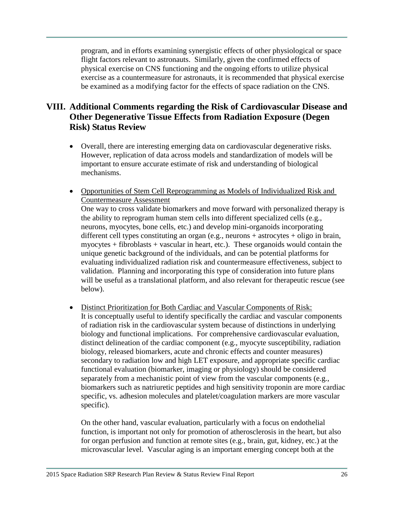program, and in efforts examining synergistic effects of other physiological or space flight factors relevant to astronauts. Similarly, given the confirmed effects of physical exercise on CNS functioning and the ongoing efforts to utilize physical exercise as a countermeasure for astronauts, it is recommended that physical exercise be examined as a modifying factor for the effects of space radiation on the CNS.

# **VIII. Additional Comments regarding the Risk of Cardiovascular Disease and Other Degenerative Tissue Effects from Radiation Exposure (Degen Risk) Status Review**

- Overall, there are interesting emerging data on cardiovascular degenerative risks. However, replication of data across models and standardization of models will be important to ensure accurate estimate of risk and understanding of biological mechanisms.
- Opportunities of Stem Cell Reprogramming as Models of Individualized Risk and Countermeasure Assessment One way to cross validate biomarkers and move forward with personalized therapy is the ability to reprogram human stem cells into different specialized cells (e.g., neurons, myocytes, bone cells, etc.) and develop mini-organoids incorporating different cell types constituting an organ (e.g., neurons + astrocytes + oligo in brain, myocytes + fibroblasts + vascular in heart, etc.). These organoids would contain the unique genetic background of the individuals, and can be potential platforms for evaluating individualized radiation risk and countermeasure effectiveness, subject to validation. Planning and incorporating this type of consideration into future plans will be useful as a translational platform, and also relevant for therapeutic rescue (see below).
- Distinct Prioritization for Both Cardiac and Vascular Components of Risk: It is conceptually useful to identify specifically the cardiac and vascular components of radiation risk in the cardiovascular system because of distinctions in underlying biology and functional implications. For comprehensive cardiovascular evaluation, distinct delineation of the cardiac component (e.g., myocyte susceptibility, radiation biology, released biomarkers, acute and chronic effects and counter measures) secondary to radiation low and high LET exposure, and appropriate specific cardiac functional evaluation (biomarker, imaging or physiology) should be considered separately from a mechanistic point of view from the vascular components (e.g., biomarkers such as natriuretic peptides and high sensitivity troponin are more cardiac specific, vs. adhesion molecules and platelet/coagulation markers are more vascular specific).

On the other hand, vascular evaluation, particularly with a focus on endothelial function, is important not only for promotion of atherosclerosis in the heart, but also for organ perfusion and function at remote sites (e.g., brain, gut, kidney, etc.) at the microvascular level. Vascular aging is an important emerging concept both at the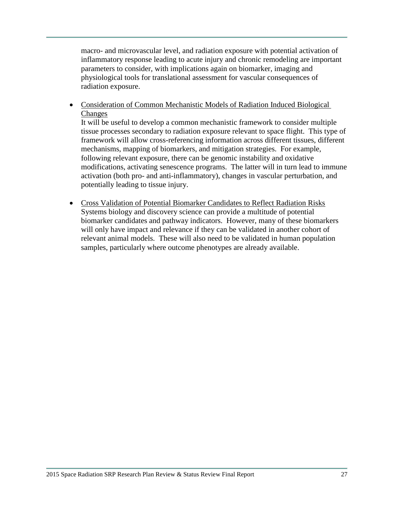macro- and microvascular level, and radiation exposure with potential activation of inflammatory response leading to acute injury and chronic remodeling are important parameters to consider, with implications again on biomarker, imaging and physiological tools for translational assessment for vascular consequences of radiation exposure.

 Consideration of Common Mechanistic Models of Radiation Induced Biological Changes

It will be useful to develop a common mechanistic framework to consider multiple tissue processes secondary to radiation exposure relevant to space flight. This type of framework will allow cross-referencing information across different tissues, different mechanisms, mapping of biomarkers, and mitigation strategies. For example, following relevant exposure, there can be genomic instability and oxidative modifications, activating senescence programs. The latter will in turn lead to immune activation (both pro- and anti-inflammatory), changes in vascular perturbation, and potentially leading to tissue injury.

 Cross Validation of Potential Biomarker Candidates to Reflect Radiation Risks Systems biology and discovery science can provide a multitude of potential biomarker candidates and pathway indicators. However, many of these biomarkers will only have impact and relevance if they can be validated in another cohort of relevant animal models. These will also need to be validated in human population samples, particularly where outcome phenotypes are already available.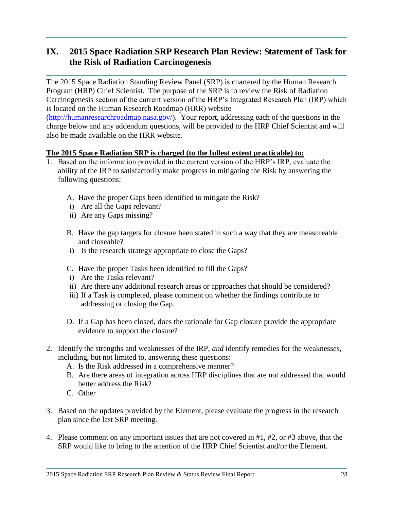# **IX. 2015 Space Radiation SRP Research Plan Review: Statement of Task for the Risk of Radiation Carcinogenesis**

The 2015 Space Radiation Standing Review Panel (SRP) is chartered by the Human Research Program (HRP) Chief Scientist. The purpose of the SRP is to review the Risk of Radiation Carcinogenesis section of the current version of the HRP's Integrated Research Plan (IRP) which is located on the Human Research Roadmap (HRR) website [\(http://humanresearchroadmap.nasa.gov/\)](http://humanresearchroadmap.nasa.gov/). Your report, addressing each of the questions in the charge below and any addendum questions, will be provided to the HRP Chief Scientist and will also be made available on the HRR website.

#### **The 2015 Space Radiation SRP is charged (to the fullest extent practicable) to:**

- 1. Based on the information provided in the current version of the HRP's IRP, evaluate the ability of the IRP to satisfactorily make progress in mitigating the Risk by answering the following questions:
	- A. Have the proper Gaps been identified to mitigate the Risk?
	- i) Are all the Gaps relevant?
	- ii) Are any Gaps missing?
	- B. Have the gap targets for closure been stated in such a way that they are measureable and closeable?
	- i) Is the research strategy appropriate to close the Gaps?
	- C. Have the proper Tasks been identified to fill the Gaps?
	- i) Are the Tasks relevant?
	- ii) Are there any additional research areas or approaches that should be considered?
	- iii) If a Task is completed, please comment on whether the findings contribute to addressing or closing the Gap.
	- D. If a Gap has been closed, does the rationale for Gap closure provide the appropriate evidence to support the closure?
- 2. Identify the strengths and weaknesses of the IRP, *and* identify remedies for the weaknesses, including, but not limited to, answering these questions:
	- A. Is the Risk addressed in a comprehensive manner?
	- B. Are there areas of integration across HRP disciplines that are not addressed that would better address the Risk?
	- C. Other
- 3. Based on the updates provided by the Element, please evaluate the progress in the research plan since the last SRP meeting.
- 4. Please comment on any important issues that are not covered in #1, #2, or #3 above, that the SRP would like to bring to the attention of the HRP Chief Scientist and/or the Element.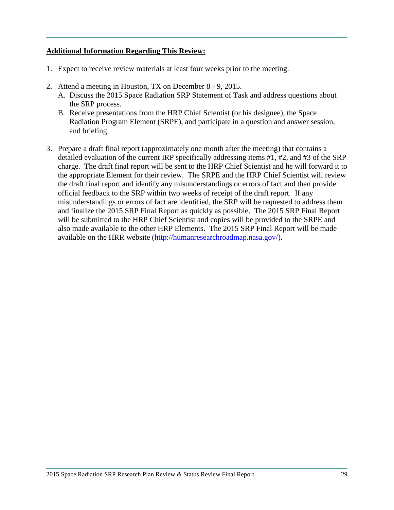#### **Additional Information Regarding This Review:**

- 1. Expect to receive review materials at least four weeks prior to the meeting.
- 2. Attend a meeting in Houston, TX on December 8 9, 2015.
	- A. Discuss the 2015 Space Radiation SRP Statement of Task and address questions about the SRP process.
	- B. Receive presentations from the HRP Chief Scientist (or his designee), the Space Radiation Program Element (SRPE), and participate in a question and answer session, and briefing.
- 3. Prepare a draft final report (approximately one month after the meeting) that contains a detailed evaluation of the current IRP specifically addressing items #1, #2, and #3 of the SRP charge. The draft final report will be sent to the HRP Chief Scientist and he will forward it to the appropriate Element for their review. The SRPE and the HRP Chief Scientist will review the draft final report and identify any misunderstandings or errors of fact and then provide official feedback to the SRP within two weeks of receipt of the draft report. If any misunderstandings or errors of fact are identified, the SRP will be requested to address them and finalize the 2015 SRP Final Report as quickly as possible. The 2015 SRP Final Report will be submitted to the HRP Chief Scientist and copies will be provided to the SRPE and also made available to the other HRP Elements. The 2015 SRP Final Report will be made available on the HRR website [\(http://humanresearchroadmap.nasa.gov/\)](http://humanresearchroadmap.nasa.gov/).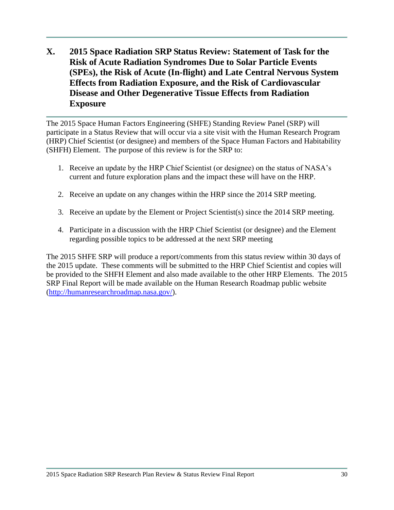**X. 2015 Space Radiation SRP Status Review: Statement of Task for the Risk of Acute Radiation Syndromes Due to Solar Particle Events (SPEs), the Risk of Acute (In-flight) and Late Central Nervous System Effects from Radiation Exposure, and the Risk of Cardiovascular Disease and Other Degenerative Tissue Effects from Radiation Exposure**

The 2015 Space Human Factors Engineering (SHFE) Standing Review Panel (SRP) will participate in a Status Review that will occur via a site visit with the Human Research Program (HRP) Chief Scientist (or designee) and members of the Space Human Factors and Habitability (SHFH) Element. The purpose of this review is for the SRP to:

- 1. Receive an update by the HRP Chief Scientist (or designee) on the status of NASA's current and future exploration plans and the impact these will have on the HRP.
- 2. Receive an update on any changes within the HRP since the 2014 SRP meeting.
- 3. Receive an update by the Element or Project Scientist(s) since the 2014 SRP meeting.
- 4. Participate in a discussion with the HRP Chief Scientist (or designee) and the Element regarding possible topics to be addressed at the next SRP meeting

The 2015 SHFE SRP will produce a report/comments from this status review within 30 days of the 2015 update. These comments will be submitted to the HRP Chief Scientist and copies will be provided to the SHFH Element and also made available to the other HRP Elements. The 2015 SRP Final Report will be made available on the Human Research Roadmap public website [\(http://humanresearchroadmap.nasa.gov/\)](http://humanresearchroadmap.nasa.gov/).